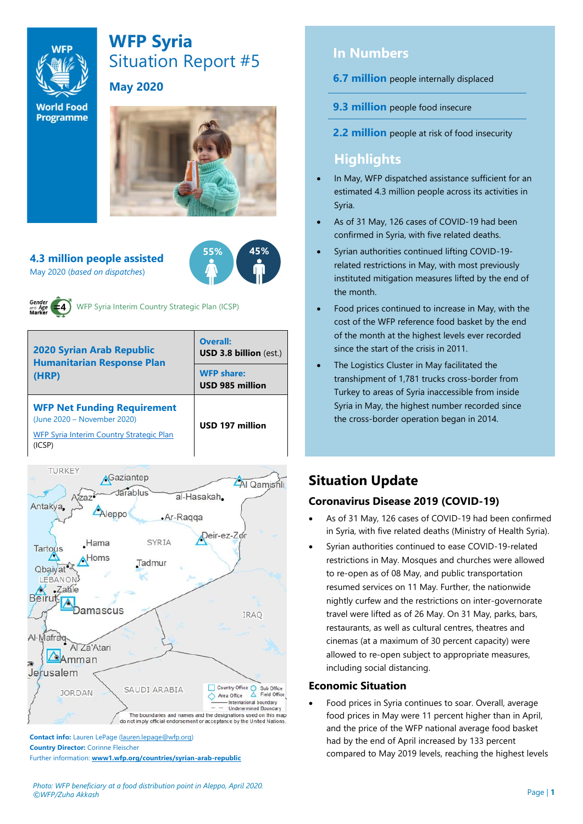

# **WFP Syria** Situation Report #5

**May 2020** 

**World Food Programme** 



**55% 45%**

**4.3 million people assisted**  May 2020 (*based on dispatches*)



WFP Syria Interim Country Strategic Plan (ICSP)

| <b>2020 Syrian Arab Republic</b><br><b>Humanitarian Response Plan</b><br>(HRP)                                          | Overall:<br><b>USD 3.8 billion (est.)</b><br><b>WFP share:</b><br>USD 985 million |  |  |
|-------------------------------------------------------------------------------------------------------------------------|-----------------------------------------------------------------------------------|--|--|
| <b>WFP Net Funding Requirement</b><br>(June 2020 - November 2020)<br>WFP Syria Interim Country Strategic Plan<br>(ICSP) | USD 197 million                                                                   |  |  |



**Contact info:** Lauren LePage [\(lauren.lepage@wfp.org\)](mailto:lauren.lepage@wfp.org) **Country Director:** Corinne Fleischer Further information: **[www1.wfp.org/countries/syrian-arab-republic](file:///C:/Users/lauren.lepage/AppData/Local/Microsoft/Windows/INetCache/Content.Outlook/HTRVWXQN/www1.wfp.org/countries/syrian-arab-republic)**

## **In Numbers**

**6.7 million** people internally displaced

**9.3 million** people food insecure

**2.2 million** people at risk of food insecurity

## **Highlights**

- In May, WFP dispatched assistance sufficient for an estimated 4.3 million people across its activities in Syria.
- As of 31 May, 126 cases of COVID-19 had been confirmed in Syria, with five related deaths.
- Syrian authorities continued lifting COVID-19 related restrictions in May, with most previously instituted mitigation measures lifted by the end of the month.
- Food prices continued to increase in May, with the cost of the WFP reference food basket by the end of the month at the highest levels ever recorded since the start of the crisis in 2011.
- The Logistics Cluster in May facilitated the transhipment of 1,781 trucks cross-border from Turkey to areas of Syria inaccessible from inside Syria in May, the highest number recorded since the cross-border operation began in 2014.

# **Situation Update**

#### **Coronavirus Disease 2019 (COVID-19)**

- As of 31 May, 126 cases of COVID-19 had been confirmed in Syria, with five related deaths (Ministry of Health Syria).
- Syrian authorities continued to ease COVID-19-related restrictions in May. Mosques and churches were allowed to re-open as of 08 May, and public transportation resumed services on 11 May. Further, the nationwide nightly curfew and the restrictions on inter-governorate travel were lifted as of 26 May. On 31 May, parks, bars, restaurants, as well as cultural centres, theatres and cinemas (at a maximum of 30 percent capacity) were allowed to re-open subject to appropriate measures, including social distancing.

#### **Economic Situation**

• Food prices in Syria continues to soar. Overall, average food prices in May were 11 percent higher than in April, and the price of the WFP national average food basket had by the end of April increased by 133 percent compared to May 2019 levels, reaching the highest levels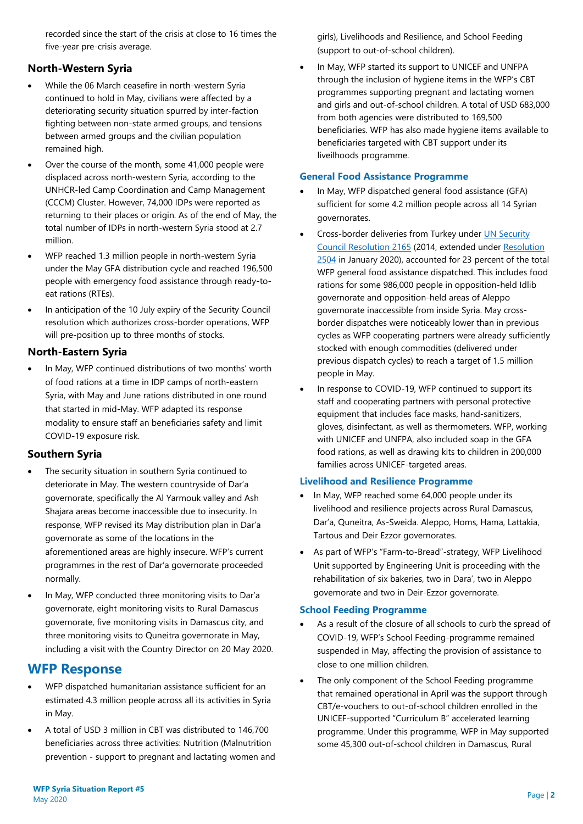recorded since the start of the crisis at close to 16 times the five-year pre-crisis average.

#### **North-Western Syria**

- While the 06 March ceasefire in north-western Syria continued to hold in May, civilians were affected by a deteriorating security situation spurred by inter-faction fighting between non-state armed groups, and tensions between armed groups and the civilian population remained high.
- Over the course of the month, some 41,000 people were displaced across north-western Syria, according to the UNHCR-led Camp Coordination and Camp Management (CCCM) Cluster. However, 74,000 IDPs were reported as returning to their places or origin. As of the end of May, the total number of IDPs in north-western Syria stood at 2.7 million.
- WFP reached 1.3 million people in north-western Syria under the May GFA distribution cycle and reached 196,500 people with emergency food assistance through ready-toeat rations (RTEs).
- In anticipation of the 10 July expiry of the Security Council resolution which authorizes cross-border operations, WFP will pre-position up to three months of stocks.

#### **North-Eastern Syria**

• In May, WFP continued distributions of two months' worth of food rations at a time in IDP camps of north-eastern Syria, with May and June rations distributed in one round that started in mid-May. WFP adapted its response modality to ensure staff an beneficiaries safety and limit COVID-19 exposure risk.

#### **Southern Syria**

- The security situation in southern Syria continued to deteriorate in May. The western countryside of Dar'a governorate, specifically the Al Yarmouk valley and Ash Shajara areas become inaccessible due to insecurity. In response, WFP revised its May distribution plan in Dar'a governorate as some of the locations in the aforementioned areas are highly insecure. WFP's current programmes in the rest of Dar'a governorate proceeded normally.
- In May, WFP conducted three monitoring visits to Dar'a governorate, eight monitoring visits to Rural Damascus governorate, five monitoring visits in Damascus city, and three monitoring visits to Quneitra governorate in May, including a visit with the Country Director on 20 May 2020.

### **WFP Response**

- WFP dispatched humanitarian assistance sufficient for an estimated 4.3 million people across all its activities in Syria in May.
- A total of USD 3 million in CBT was distributed to 146,700 beneficiaries across three activities: Nutrition (Malnutrition prevention - support to pregnant and lactating women and

girls), Livelihoods and Resilience, and School Feeding (support to out-of-school children).

In May, WFP started its support to UNICEF and UNFPA through the inclusion of hygiene items in the WFP's CBT programmes supporting pregnant and lactating women and girls and out-of-school children. A total of USD 683,000 from both agencies were distributed to 169,500 beneficiaries. WFP has also made hygiene items available to beneficiaries targeted with CBT support under its liveilhoods programme.

#### **General Food Assistance Programme**

- In May, WFP dispatched general food assistance (GFA) sufficient for some 4.2 million people across all 14 Syrian governorates.
- Cross-border deliveries from Turkey under [UN Security](https://undocs.org/S/RES/2165(2014))  [Council Resolution 2165](https://undocs.org/S/RES/2165(2014)) (2014, extended under [Resolution](https://undocs.org/S/RES/2504(2020))  [2504](https://undocs.org/S/RES/2504(2020)) in January 2020), accounted for 23 percent of the total WFP general food assistance dispatched. This includes food rations for some 986,000 people in opposition-held Idlib governorate and opposition-held areas of Aleppo governorate inaccessible from inside Syria. May crossborder dispatches were noticeably lower than in previous cycles as WFP cooperating partners were already sufficiently stocked with enough commodities (delivered under previous dispatch cycles) to reach a target of 1.5 million people in May.
- In response to COVID-19, WFP continued to support its staff and cooperating partners with personal protective equipment that includes face masks, hand-sanitizers, gloves, disinfectant, as well as thermometers. WFP, working with UNICEF and UNFPA, also included soap in the GFA food rations, as well as drawing kits to children in 200,000 families across UNICEF-targeted areas.

#### **Livelihood and Resilience Programme**

- In May, WFP reached some 64,000 people under its livelihood and resilience projects across Rural Damascus, Dar'a, Quneitra, As-Sweida. Aleppo, Homs, Hama, Lattakia, Tartous and Deir Ezzor governorates.
- As part of WFP's "Farm-to-Bread"-strategy, WFP Livelihood Unit supported by Engineering Unit is proceeding with the rehabilitation of six bakeries, two in Dara', two in Aleppo governorate and two in Deir-Ezzor governorate.

#### **School Feeding Programme**

- As a result of the closure of all schools to curb the spread of COVID-19, WFP's School Feeding-programme remained suspended in May, affecting the provision of assistance to close to one million children.
- The only component of the School Feeding programme that remained operational in April was the support through CBT/e-vouchers to out-of-school children enrolled in the UNICEF-supported "Curriculum B" accelerated learning programme. Under this programme, WFP in May supported some 45,300 out-of-school children in Damascus, Rural